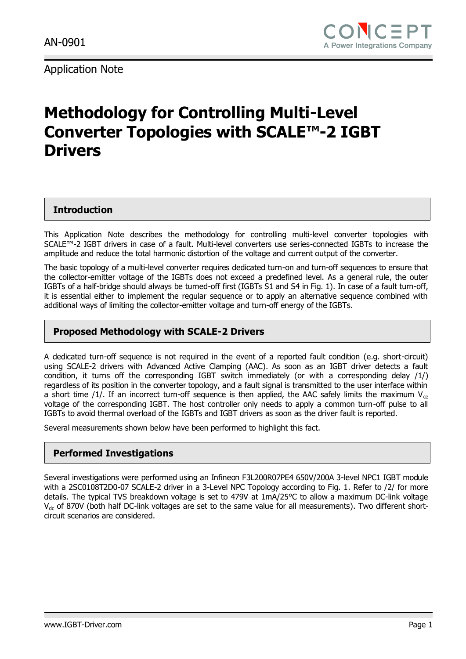# **Methodology for Controlling Multi-Level Converter Topologies with SCALE™-2 IGBT Drivers**

### **Introduction**

This Application Note describes the methodology for controlling multi-level converter topologies with SCALE™-2 IGBT drivers in case of a fault. Multi-level converters use series-connected IGBTs to increase the amplitude and reduce the total harmonic distortion of the voltage and current output of the converter.

The basic topology of a multi-level converter requires dedicated turn-on and turn-off sequences to ensure that the collector-emitter voltage of the IGBTs does not exceed a predefined level. As a general rule, the outer IGBTs of a half-bridge should always be turned-off first (IGBTs S1 and S4 in Fig. 1). In case of a fault turn-off, it is essential either to implement the regular sequence or to apply an alternative sequence combined with additional ways of limiting the collector-emitter voltage and turn-off energy of the IGBTs.

### **Proposed Methodology with SCALE-2 Drivers**

A dedicated turn-off sequence is not required in the event of a reported fault condition (e.g. short-circuit) using SCALE-2 drivers with Advanced Active Clamping (AAC). As soon as an IGBT driver detects a fault condition, it turns off the corresponding IGBT switch immediately (or with a corresponding delay /1/) regardless of its position in the converter topology, and a fault signal is transmitted to the user interface within a short time /1/. If an incorrect turn-off sequence is then applied, the AAC safely limits the maximum  $V_{ce}$ voltage of the corresponding IGBT. The host controller only needs to apply a common turn-off pulse to all IGBTs to avoid thermal overload of the IGBTs and IGBT drivers as soon as the driver fault is reported.

Several measurements shown below have been performed to highlight this fact.

### **Performed Investigations**

Several investigations were performed using an Infineon F3L200R07PE4 650V/200A 3-level NPC1 IGBT module with a 2SC0108T2D0-07 SCALE-2 driver in a 3-Level NPC Topology according to Fig. 1. Refer to /2/ for more details. The typical TVS breakdown voltage is set to 479V at 1mA/25°C to allow a maximum DC-link voltage V<sub>dc</sub> of 870V (both half DC-link voltages are set to the same value for all measurements). Two different shortcircuit scenarios are considered.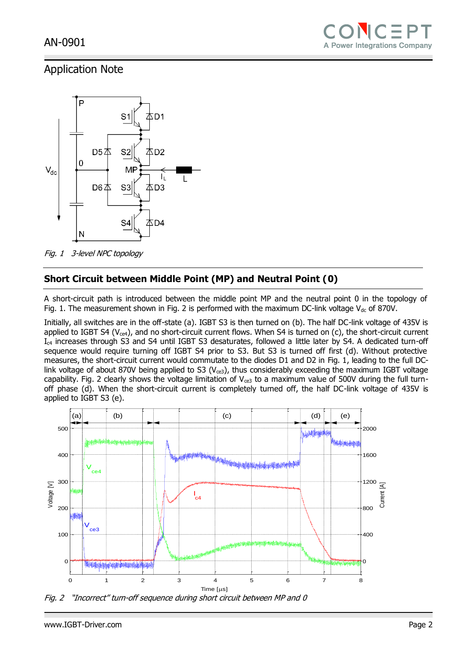

Fig. 1 3-level NPC topology

### **Short Circuit between Middle Point (MP) and Neutral Point (0)**

A short-circuit path is introduced between the middle point MP and the neutral point 0 in the topology of Fig. 1. The measurement shown in Fig. 2 is performed with the maximum DC-link voltage  $V_{dc}$  of 870V.

Initially, all switches are in the off-state (a). IGBT S3 is then turned on (b). The half DC-link voltage of 435V is applied to IGBT S4 ( $V_{ce4}$ ), and no short-circuit current flows. When S4 is turned on (c), the short-circuit current Ic4 increases through S3 and S4 until IGBT S3 desaturates, followed a little later by S4. A dedicated turn-off sequence would require turning off IGBT S4 prior to S3. But S3 is turned off first (d). Without protective measures, the short-circuit current would commutate to the diodes D1 and D2 in Fig. 1, leading to the full DClink voltage of about 870V being applied to S3 ( $V_{ce3}$ ), thus considerably exceeding the maximum IGBT voltage capability. Fig. 2 clearly shows the voltage limitation of  $V_{ce3}$  to a maximum value of 500V during the full turnoff phase (d). When the short-circuit current is completely turned off, the half DC-link voltage of 435V is applied to IGBT S3 (e).



Fig. 2 "Incorrect" turn-off sequence during short circuit between MP and 0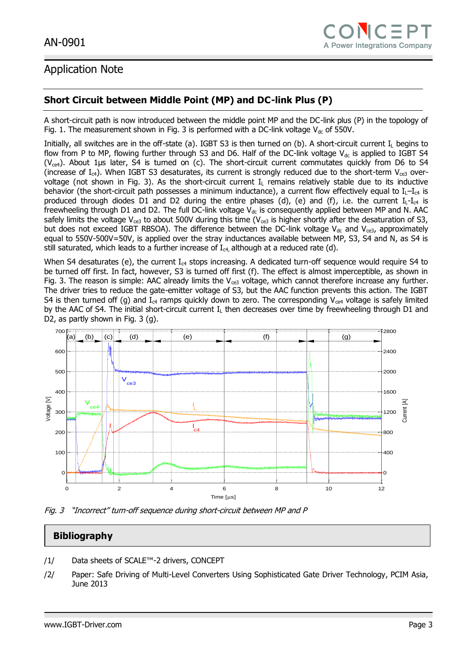### **Short Circuit between Middle Point (MP) and DC-link Plus (P)**

A short-circuit path is now introduced between the middle point MP and the DC-link plus (P) in the topology of Fig. 1. The measurement shown in Fig. 3 is performed with a DC-link voltage  $V_{dc}$  of 550V.

Initially, all switches are in the off-state (a). IGBT S3 is then turned on (b). A short-circuit current  $I_L$  begins to flow from P to MP, flowing further through S3 and D6. Half of the DC-link voltage  $V_{dc}$  is applied to IGBT S4 ( $V_{ce4}$ ). About 1µs later, S4 is turned on (c). The short-circuit current commutates quickly from D6 to S4 (increase of  $I_{c4}$ ). When IGBT S3 desaturates, its current is strongly reduced due to the short-term  $V_{ce3}$  overvoltage (not shown in Fig. 3). As the short-circuit current  $I<sub>L</sub>$  remains relatively stable due to its inductive behavior (the short-circuit path possesses a minimum inductance), a current flow effectively equal to  $I_{L}-I_{c4}$  is produced through diodes D1 and D2 during the entire phases (d), (e) and (f), i.e. the current  $I_{L}$ - $I_{c4}$  is freewheeling through D1 and D2. The full DC-link voltage  $V_{dc}$  is consequently applied between MP and N. AAC safely limits the voltage V<sub>ce3</sub> to about 500V during this time (V<sub>ce3</sub> is higher shortly after the desaturation of S3, but does not exceed IGBT RBSOA). The difference between the DC-link voltage  $V_{dc}$  and  $V_{ce3}$ , approximately equal to 550V-500V=50V, is applied over the stray inductances available between MP, S3, S4 and N, as S4 is still saturated, which leads to a further increase of  $I_{c4}$ , although at a reduced rate (d).

When S4 desaturates (e), the current  $I_{c4}$  stops increasing. A dedicated turn-off sequence would require S4 to be turned off first. In fact, however, S3 is turned off first (f). The effect is almost imperceptible, as shown in Fig. 3. The reason is simple: AAC already limits the  $V_{ce3}$  voltage, which cannot therefore increase any further. The driver tries to reduce the gate-emitter voltage of S3, but the AAC function prevents this action. The IGBT S4 is then turned off (g) and  $I_{c4}$  ramps quickly down to zero. The corresponding V<sub>ce4</sub> voltage is safely limited by the AAC of S4. The initial short-circuit current  $I<sub>L</sub>$  then decreases over time by freewheeling through D1 and D2, as partly shown in Fig. 3 (g).



Fig. 3 "Incorrect" turn-off sequence during short-circuit between MP and P

### **Bibliography**

- /1/ Data sheets of SCALE™-2 drivers, CONCEPT
- /2/ Paper: Safe Driving of Multi-Level Converters Using Sophisticated Gate Driver Technology, PCIM Asia, June 2013